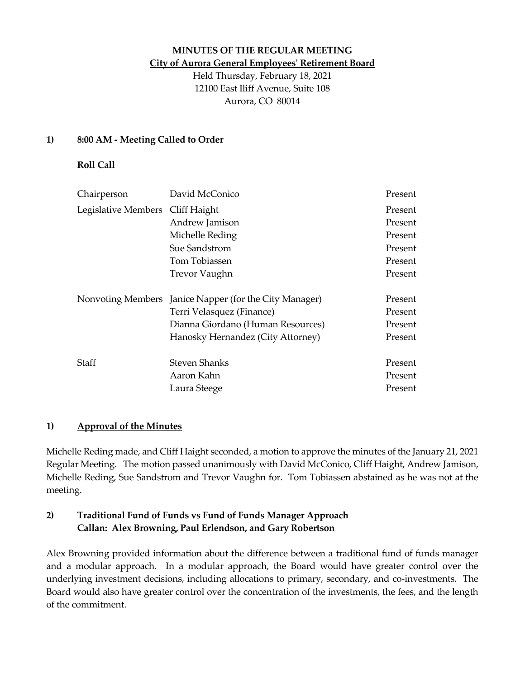#### **MINUTES OF THE REGULAR MEETING City of Aurora General Employees' Retirement Board**

Held Thursday, February 18, 2021 12100 East Iliff Avenue, Suite 108 Aurora, CO 80014

#### **1) 8:00 AM - Meeting Called to Order**

#### **Roll Call**

| Chairperson                      | David McConico                                         | Present |
|----------------------------------|--------------------------------------------------------|---------|
| Legislative Members Cliff Haight |                                                        | Present |
|                                  | Andrew Jamison                                         | Present |
|                                  | Michelle Reding                                        | Present |
|                                  | Sue Sandstrom                                          | Present |
|                                  | Tom Tobiassen                                          | Present |
|                                  | <b>Trevor Vaughn</b>                                   | Present |
|                                  | Nonvoting Members Janice Napper (for the City Manager) | Present |
|                                  | Terri Velasquez (Finance)                              | Present |
|                                  | Dianna Giordano (Human Resources)                      | Present |
|                                  | Hanosky Hernandez (City Attorney)                      | Present |
| Staff                            | Steven Shanks                                          | Present |
|                                  | Aaron Kahn                                             | Present |
|                                  | Laura Steege                                           | Present |

#### **1) Approval of the Minutes**

Michelle Reding made, and Cliff Haight seconded, a motion to approve the minutes of the January 21, 2021 Regular Meeting. The motion passed unanimously with David McConico, Cliff Haight, Andrew Jamison, Michelle Reding, Sue Sandstrom and Trevor Vaughn for. Tom Tobiassen abstained as he was not at the meeting.

# **2) Traditional Fund of Funds vs Fund of Funds Manager Approach Callan: Alex Browning, Paul Erlendson, and Gary Robertson**

Alex Browning provided information about the difference between a traditional fund of funds manager and a modular approach. In a modular approach, the Board would have greater control over the underlying investment decisions, including allocations to primary, secondary, and co-investments. The Board would also have greater control over the concentration of the investments, the fees, and the length of the commitment.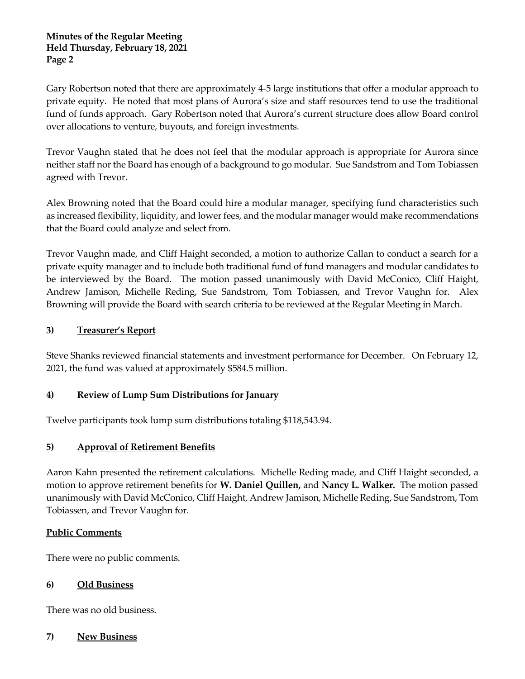#### **Minutes of the Regular Meeting Held Thursday, February 18, 2021 Page 2**

Gary Robertson noted that there are approximately 4-5 large institutions that offer a modular approach to private equity. He noted that most plans of Aurora's size and staff resources tend to use the traditional fund of funds approach. Gary Robertson noted that Aurora's current structure does allow Board control over allocations to venture, buyouts, and foreign investments.

Trevor Vaughn stated that he does not feel that the modular approach is appropriate for Aurora since neither staff nor the Board has enough of a background to go modular. Sue Sandstrom and Tom Tobiassen agreed with Trevor.

Alex Browning noted that the Board could hire a modular manager, specifying fund characteristics such as increased flexibility, liquidity, and lower fees, and the modular manager would make recommendations that the Board could analyze and select from.

Trevor Vaughn made, and Cliff Haight seconded, a motion to authorize Callan to conduct a search for a private equity manager and to include both traditional fund of fund managers and modular candidates to be interviewed by the Board. The motion passed unanimously with David McConico, Cliff Haight, Andrew Jamison, Michelle Reding, Sue Sandstrom, Tom Tobiassen, and Trevor Vaughn for. Alex Browning will provide the Board with search criteria to be reviewed at the Regular Meeting in March.

## **3) Treasurer's Report**

Steve Shanks reviewed financial statements and investment performance for December. On February 12, 2021, the fund was valued at approximately \$584.5 million.

## **4) Review of Lump Sum Distributions for January**

Twelve participants took lump sum distributions totaling \$118,543.94.

## **5) Approval of Retirement Benefits**

Aaron Kahn presented the retirement calculations. Michelle Reding made, and Cliff Haight seconded, a motion to approve retirement benefits for **W. Daniel Quillen,** and **Nancy L. Walker.** The motion passed unanimously with David McConico, Cliff Haight, Andrew Jamison, Michelle Reding, Sue Sandstrom, Tom Tobiassen, and Trevor Vaughn for.

## **Public Comments**

There were no public comments.

## **6) Old Business**

There was no old business.

## **7) New Business**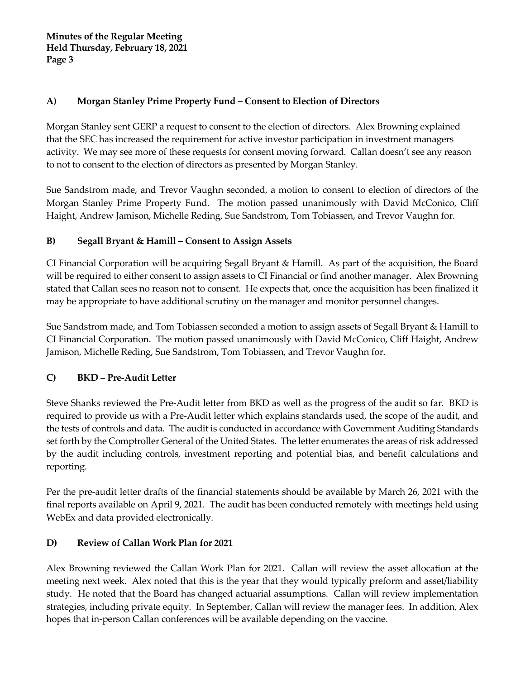## **A) Morgan Stanley Prime Property Fund – Consent to Election of Directors**

Morgan Stanley sent GERP a request to consent to the election of directors. Alex Browning explained that the SEC has increased the requirement for active investor participation in investment managers activity. We may see more of these requests for consent moving forward. Callan doesn't see any reason to not to consent to the election of directors as presented by Morgan Stanley.

Sue Sandstrom made, and Trevor Vaughn seconded, a motion to consent to election of directors of the Morgan Stanley Prime Property Fund. The motion passed unanimously with David McConico, Cliff Haight, Andrew Jamison, Michelle Reding, Sue Sandstrom, Tom Tobiassen, and Trevor Vaughn for.

# **B) Segall Bryant & Hamill – Consent to Assign Assets**

CI Financial Corporation will be acquiring Segall Bryant & Hamill. As part of the acquisition, the Board will be required to either consent to assign assets to CI Financial or find another manager. Alex Browning stated that Callan sees no reason not to consent. He expects that, once the acquisition has been finalized it may be appropriate to have additional scrutiny on the manager and monitor personnel changes.

Sue Sandstrom made, and Tom Tobiassen seconded a motion to assign assets of Segall Bryant & Hamill to CI Financial Corporation. The motion passed unanimously with David McConico, Cliff Haight, Andrew Jamison, Michelle Reding, Sue Sandstrom, Tom Tobiassen, and Trevor Vaughn for.

# **C) BKD – Pre-Audit Letter**

Steve Shanks reviewed the Pre-Audit letter from BKD as well as the progress of the audit so far. BKD is required to provide us with a Pre-Audit letter which explains standards used, the scope of the audit, and the tests of controls and data. The audit is conducted in accordance with Government Auditing Standards set forth by the Comptroller General of the United States. The letter enumerates the areas of risk addressed by the audit including controls, investment reporting and potential bias, and benefit calculations and reporting.

Per the pre-audit letter drafts of the financial statements should be available by March 26, 2021 with the final reports available on April 9, 2021. The audit has been conducted remotely with meetings held using WebEx and data provided electronically.

# **D) Review of Callan Work Plan for 2021**

Alex Browning reviewed the Callan Work Plan for 2021. Callan will review the asset allocation at the meeting next week. Alex noted that this is the year that they would typically preform and asset/liability study. He noted that the Board has changed actuarial assumptions. Callan will review implementation strategies, including private equity. In September, Callan will review the manager fees. In addition, Alex hopes that in-person Callan conferences will be available depending on the vaccine.